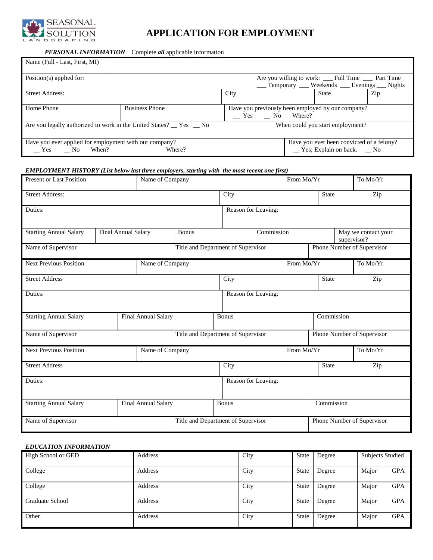

# **APPLICATION FOR EMPLOYMENT**

#### *PERSONAL INFORMATION* Complete *all* applicable information

| Name (Full - Last, First, MI)                                                           |                       |                                                                                                      |                                                                                                        |  |                                                                                         |  |     |
|-----------------------------------------------------------------------------------------|-----------------------|------------------------------------------------------------------------------------------------------|--------------------------------------------------------------------------------------------------------|--|-----------------------------------------------------------------------------------------|--|-----|
| Position(s) applied for:                                                                |                       |                                                                                                      | Are you willing to work: ___ Full Time ___ Part Time<br>Temporary ___ Weekends ___ Evenings ___ Nights |  |                                                                                         |  |     |
| <b>Street Address:</b>                                                                  |                       | City                                                                                                 |                                                                                                        |  | <b>State</b>                                                                            |  | Zip |
| Home Phone                                                                              | <b>Business Phone</b> | Have you previously been employed by our company?<br>$\hspace{1.5mm}$ Yes $\hspace{1.5mm}$ No Where? |                                                                                                        |  |                                                                                         |  |     |
| Are you legally authorized to work in the United States? Thes No                        |                       |                                                                                                      | When could you start employment?                                                                       |  |                                                                                         |  |     |
| Have you ever applied for employment with our company?<br>Where?<br>When?<br>Yes<br>No. |                       |                                                                                                      |                                                                                                        |  | Have you ever been convicted of a felony?<br>$\angle$ Yes; Explain on back. $\angle$ No |  |     |

#### *EMPLOYMENT HISTORY (List below last three employers, starting with the most recent one first)*

| <b>Present or Last Position</b>                  |                     | Name of Company     |              |                                                                  | From Mo/Yr          |            |                            | To Mo/Yr                   |                                    |     |
|--------------------------------------------------|---------------------|---------------------|--------------|------------------------------------------------------------------|---------------------|------------|----------------------------|----------------------------|------------------------------------|-----|
| <b>Street Address:</b>                           |                     |                     |              | City                                                             |                     |            | State                      |                            | Zip                                |     |
| Duties:                                          |                     |                     |              |                                                                  | Reason for Leaving: |            |                            |                            |                                    |     |
| <b>Starting Annual Salary</b>                    | Final Annual Salary |                     | <b>Bonus</b> |                                                                  |                     | Commission |                            |                            | May we contact your<br>supervisor? |     |
| Name of Supervisor                               |                     |                     |              | Phone Number of Supervisor<br>Title and Department of Supervisor |                     |            |                            |                            |                                    |     |
| <b>Next Previous Position</b>                    |                     | Name of Company     |              |                                                                  |                     | From Mo/Yr |                            |                            | To Mo/Yr                           |     |
| <b>Street Address</b>                            |                     |                     |              | City                                                             |                     |            | State                      |                            |                                    | Zip |
| Duties:                                          |                     |                     |              |                                                                  | Reason for Leaving: |            |                            |                            |                                    |     |
| <b>Starting Annual Salary</b>                    | Final Annual Salary |                     |              | Bonus<br>Commission                                              |                     |            |                            |                            |                                    |     |
| Name of Supervisor                               |                     |                     |              | Title and Department of Supervisor                               |                     |            |                            | Phone Number of Supervisor |                                    |     |
| <b>Next Previous Position</b><br>Name of Company |                     |                     |              | From Mo/Yr                                                       |                     |            |                            | To Mo/Yr                   |                                    |     |
| <b>Street Address</b>                            |                     |                     |              | City                                                             |                     |            | <b>State</b>               |                            |                                    | Zip |
| Duties:                                          |                     |                     |              |                                                                  | Reason for Leaving: |            |                            |                            |                                    |     |
| <b>Starting Annual Salary</b>                    |                     | Final Annual Salary | <b>Bonus</b> |                                                                  |                     |            | Commission                 |                            |                                    |     |
| Name of Supervisor                               |                     |                     |              | Title and Department of Supervisor                               |                     |            | Phone Number of Supervisor |                            |                                    |     |

### *EDUCATION INFORMATION* High School or GED <br>
Address 
State | Degree | Subjects Studied

|                 | -------- | $- - -$ | ------       | ------ | -------------- |            |
|-----------------|----------|---------|--------------|--------|----------------|------------|
| College         | Address  | City    | <b>State</b> | Degree | Major          | <b>GPA</b> |
| College         | Address  | City    | <b>State</b> | Degree | Major          | <b>GPA</b> |
| Graduate School | Address  | City    | <b>State</b> | Degree | Major          | <b>GPA</b> |
| Other           | Address  | City    | <b>State</b> | Degree | Major          | <b>GPA</b> |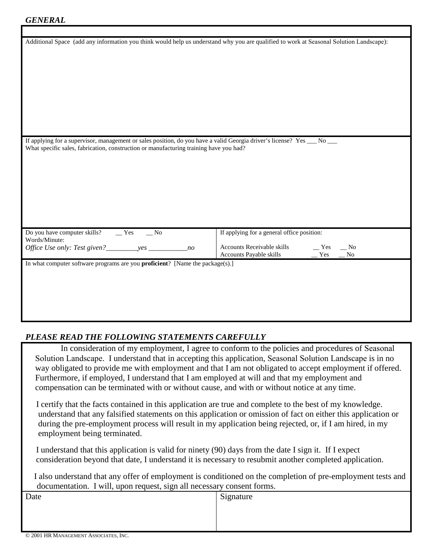| Additional Space (add any information you think would help us understand why you are qualified to work at Seasonal Solution Landscape): |                                                |
|-----------------------------------------------------------------------------------------------------------------------------------------|------------------------------------------------|
|                                                                                                                                         |                                                |
|                                                                                                                                         |                                                |
|                                                                                                                                         |                                                |
|                                                                                                                                         |                                                |
|                                                                                                                                         |                                                |
|                                                                                                                                         |                                                |
|                                                                                                                                         |                                                |
|                                                                                                                                         |                                                |
|                                                                                                                                         |                                                |
|                                                                                                                                         |                                                |
| If applying for a supervisor, management or sales position, do you have a valid Georgia driver's license? Yes __ No __                  |                                                |
| What specific sales, fabrication, construction or manufacturing training have you had?                                                  |                                                |
|                                                                                                                                         |                                                |
|                                                                                                                                         |                                                |
|                                                                                                                                         |                                                |
|                                                                                                                                         |                                                |
|                                                                                                                                         |                                                |
|                                                                                                                                         |                                                |
|                                                                                                                                         |                                                |
|                                                                                                                                         |                                                |
| Do you have computer skills?<br>$Y$ es<br>N <sub>0</sub>                                                                                | If applying for a general office position:     |
| Words/Minute:<br>Office Use only: Test given?___________yes _______                                                                     | Accounts Receivable skills<br>Yes<br>$\sim$ No |
| no                                                                                                                                      | Accounts Payable skills<br>Yes<br>No           |
| In what computer software programs are you <b>proficient</b> ? [Name the package(s).]                                                   |                                                |
|                                                                                                                                         |                                                |
|                                                                                                                                         |                                                |
|                                                                                                                                         |                                                |
|                                                                                                                                         |                                                |
|                                                                                                                                         |                                                |
|                                                                                                                                         |                                                |

## *PLEASE READ THE FOLLOWING STATEMENTS CAREFULLY*

 In consideration of my employment, I agree to conform to the policies and procedures of Seasonal Solution Landscape. I understand that in accepting this application, Seasonal Solution Landscape is in no way obligated to provide me with employment and that I am not obligated to accept employment if offered. Furthermore, if employed, I understand that I am employed at will and that my employment and compensation can be terminated with or without cause, and with or without notice at any time.

 I certify that the facts contained in this application are true and complete to the best of my knowledge. understand that any falsified statements on this application or omission of fact on either this application or during the pre-employment process will result in my application being rejected, or, if I am hired, in my employment being terminated.

 I understand that this application is valid for ninety (90) days from the date I sign it. If I expect consideration beyond that date, I understand it is necessary to resubmit another completed application.

 I also understand that any offer of employment is conditioned on the completion of pre-employment tests and documentation. I will, upon request, sign all necessary consent forms.

| ັ                                     |           |
|---------------------------------------|-----------|
| Date                                  | Signature |
|                                       |           |
|                                       |           |
|                                       |           |
| © 2001 HR MANAGEMENT ASSOCIATES, INC. |           |